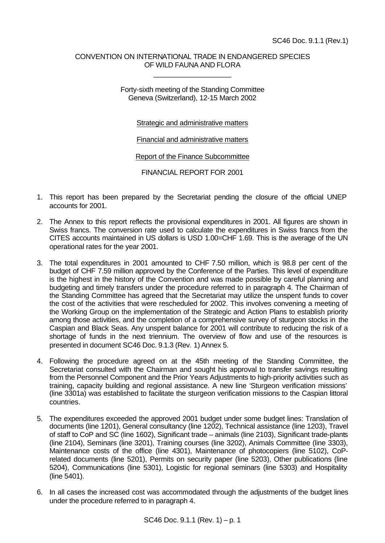## CONVENTION ON INTERNATIONAL TRADE IN ENDANGERED SPECIES OF WILD FAUNA AND FLORA

\_\_\_\_\_\_\_\_\_\_\_\_\_\_\_\_\_\_\_\_

Forty-sixth meeting of the Standing Committee Geneva (Switzerland), 12-15 March 2002

Strategic and administrative matters

Financial and administrative matters

Report of the Finance Subcommittee

FINANCIAL REPORT FOR 2001

- 1. This report has been prepared by the Secretariat pending the closure of the official UNEP accounts for 2001.
- 2. The Annex to this report reflects the provisional expenditures in 2001. All figures are shown in Swiss francs. The conversion rate used to calculate the expenditures in Swiss francs from the CITES accounts maintained in US dollars is USD 1.00=CHF 1.69. This is the average of the UN operational rates for the year 2001.
- 3. The total expenditures in 2001 amounted to CHF 7.50 million, which is 98.8 per cent of the budget of CHF 7.59 million approved by the Conference of the Parties. This level of expenditure is the highest in the history of the Convention and was made possible by careful planning and budgeting and timely transfers under the procedure referred to in paragraph 4. The Chairman of the Standing Committee has agreed that the Secretariat may utilize the unspent funds to cover the cost of the activities that were rescheduled for 2002. This involves convening a meeting of the Working Group on the implementation of the Strategic and Action Plans to establish priority among those activities, and the completion of a comprehensive survey of sturgeon stocks in the Caspian and Black Seas. Any unspent balance for 2001 will contribute to reducing the risk of a shortage of funds in the next triennium. The overview of flow and use of the resources is presented in document SC46 Doc. 9.1.3 (Rev. 1) Annex 5.
- 4. Following the procedure agreed on at the 45th meeting of the Standing Committee, the Secretariat consulted with the Chairman and sought his approval to transfer savings resulting from the Personnel Component and the Prior Years Adjustments to high-priority activities such as training, capacity building and regional assistance. A new line 'Sturgeon verification missions' (line 3301a) was established to facilitate the sturgeon verification missions to the Caspian littoral countries.
- 5. The expenditures exceeded the approved 2001 budget under some budget lines: Translation of documents (line 1201), General consultancy (line 1202), Technical assistance (line 1203), Travel of staff to CoP and SC (line 1602), Significant trade – animals (line 2103), Significant trade-plants (line 2104), Seminars (line 3201), Training courses (line 3202), Animals Committee (line 3303), Maintenance costs of the office (line 4301), Maintenance of photocopiers (line 5102), CoPrelated documents (line 5201), Permits on security paper (line 5203), Other publications (line 5204), Communications (line 5301), Logistic for regional seminars (line 5303) and Hospitality (line 5401).
- 6. In all cases the increased cost was accommodated through the adjustments of the budget lines under the procedure referred to in paragraph 4.